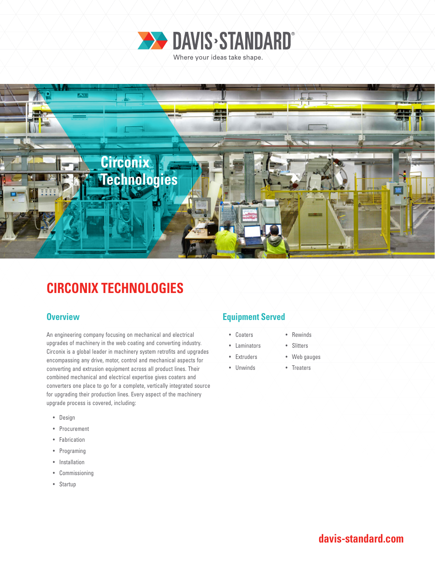



# **CIRCONIX TECHNOLOGIES**

An engineering company focusing on mechanical and electrical upgrades of machinery in the web coating and converting industry. Circonix is a global leader in machinery system retrofits and upgrades encompassing any drive, motor, control and mechanical aspects for converting and extrusion equipment across all product lines. Their combined mechanical and electrical expertise gives coaters and converters one place to go for a complete, vertically integrated source for upgrading their production lines. Every aspect of the machinery upgrade process is covered, including:

- Design
- Procurement
- Fabrication
- Programing
- Installation
- Commissioning
- Startup

### **Overview <b>Equipment Served**

• Laminators • Extruders

- Coaters
	- Slitters
	- Web gauges

• Rewinds

• Treaters

• Unwinds